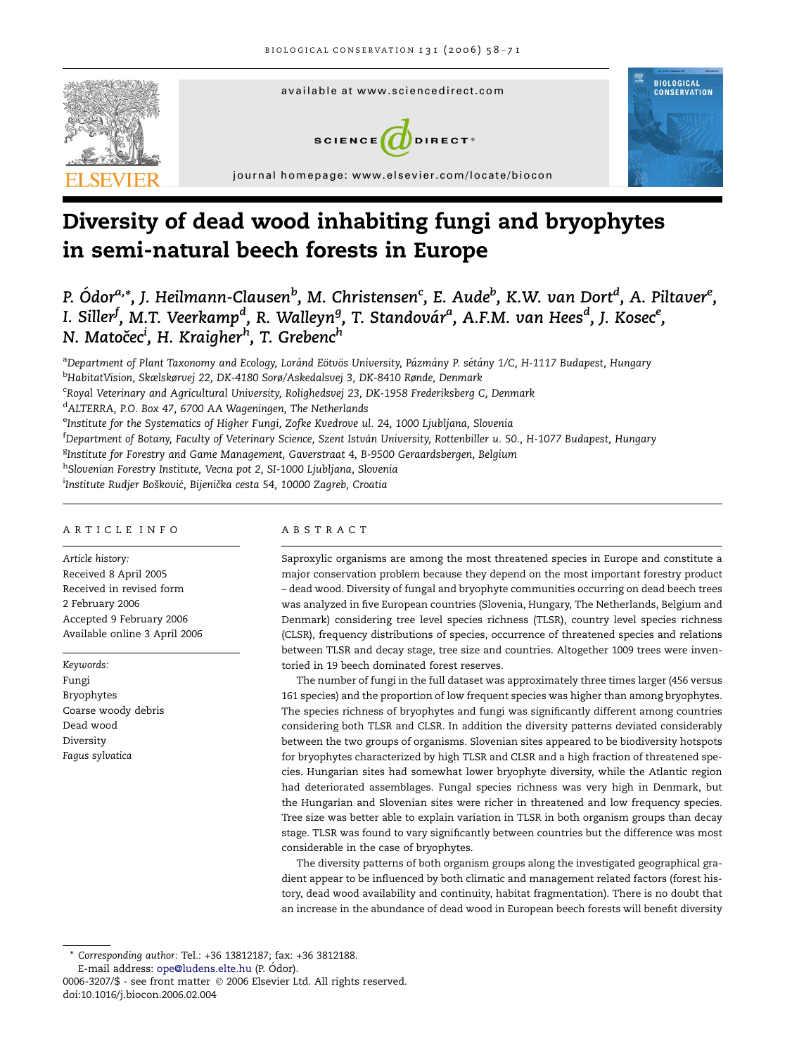

# Diversity of dead wood inhabiting fungi and bryophytes in semi-natural beech forests in Europe

P. Ódor<sup>a,</sup>\*, J. Heilmann-Clausen<sup>b</sup>, M. Christensen<sup>c</sup>, E. Aude<sup>b</sup>, K.W. van Dort<sup>d</sup>, A. Piltaver<sup>e</sup>, I. Siller<sup>f</sup>, M.T. Veerkamp<sup>d</sup>, R. Walleyn<sup>g</sup>, T. Standovár<sup>a</sup>, A.F.M. van Hees<sup>d</sup>, J. Kosec<sup>e</sup>, N. Matočec<sup>i</sup>, H. Kraigher<sup>h</sup>, T. Grebenc<sup>h</sup>

<sup>a</sup>Department of Plant Taxonomy and Ecology, Loránd Eötvös University, Pázmány P. sétány 1/C, H-1117 Budapest, Hungary

<sup>b</sup>HabitatVision, Skælskørvej 22, DK-4180 Sorø/Askedalsvej 3, DK-8410 Rønde, Denmark

<sup>c</sup>Royal Veterinary and Agricultural University, Rolighedsvej 23, DK-1958 Frederiksberg C, Denmark

<sup>d</sup>ALTERRA, P.O. Box 47, 6700 AA Wageningen, The Netherlands

<sup>e</sup>Institute for the Systematics of Higher Fungi, Zofke Kvedrove ul. 24, 1000 Ljubljana, Slovenia

<sup>f</sup>Department of Botany, Faculty of Veterinary Science, Szent István University, Rottenbiller u. 50., H-1077 Budapest, Hungary

<sup>g</sup>Institute for Forestry and Game Management, Gaverstraat 4, B-9500 Geraardsbergen, Belgium

hSlovenian Forestry Institute, Vecna pot 2, SI-1000 Ljubljana, Slovenia

<sup>i</sup>Institute Rudjer Bošković, Bijenička cesta 54, 10000 Zagreb, Croatia

#### ARTICLE INFO

Article history: Received 8 April 2005 Received in revised form 2 February 2006 Accepted 9 February 2006 Available online 3 April 2006

Keywords: Fungi Bryophytes Coarse woody debris Dead wood Diversity Fagus sylvatica

# ABSTRACT

Saproxylic organisms are among the most threatened species in Europe and constitute a major conservation problem because they depend on the most important forestry product – dead wood. Diversity of fungal and bryophyte communities occurring on dead beech trees was analyzed in five European countries (Slovenia, Hungary, The Netherlands, Belgium and Denmark) considering tree level species richness (TLSR), country level species richness (CLSR), frequency distributions of species, occurrence of threatened species and relations between TLSR and decay stage, tree size and countries. Altogether 1009 trees were inventoried in 19 beech dominated forest reserves.

The number of fungi in the full dataset was approximately three times larger (456 versus 161 species) and the proportion of low frequent species was higher than among bryophytes. The species richness of bryophytes and fungi was significantly different among countries considering both TLSR and CLSR. In addition the diversity patterns deviated considerably between the two groups of organisms. Slovenian sites appeared to be biodiversity hotspots for bryophytes characterized by high TLSR and CLSR and a high fraction of threatened species. Hungarian sites had somewhat lower bryophyte diversity, while the Atlantic region had deteriorated assemblages. Fungal species richness was very high in Denmark, but the Hungarian and Slovenian sites were richer in threatened and low frequency species. Tree size was better able to explain variation in TLSR in both organism groups than decay stage. TLSR was found to vary significantly between countries but the difference was most considerable in the case of bryophytes.

The diversity patterns of both organism groups along the investigated geographical gradient appear to be influenced by both climatic and management related factors (forest history, dead wood availability and continuity, habitat fragmentation). There is no doubt that an increase in the abundance of dead wood in European beech forests will benefit diversity

\* Corresponding author: Tel.: +36 13812187; fax: +36 3812188.

E-mail address: [ope@ludens.elte.hu](mailto:ope@ludens.elte.hu) (P. Ódor).

0006-3207/\$ - see front matter © 2006 Elsevier Ltd. All rights reserved. doi:10.1016/j.biocon.2006.02.004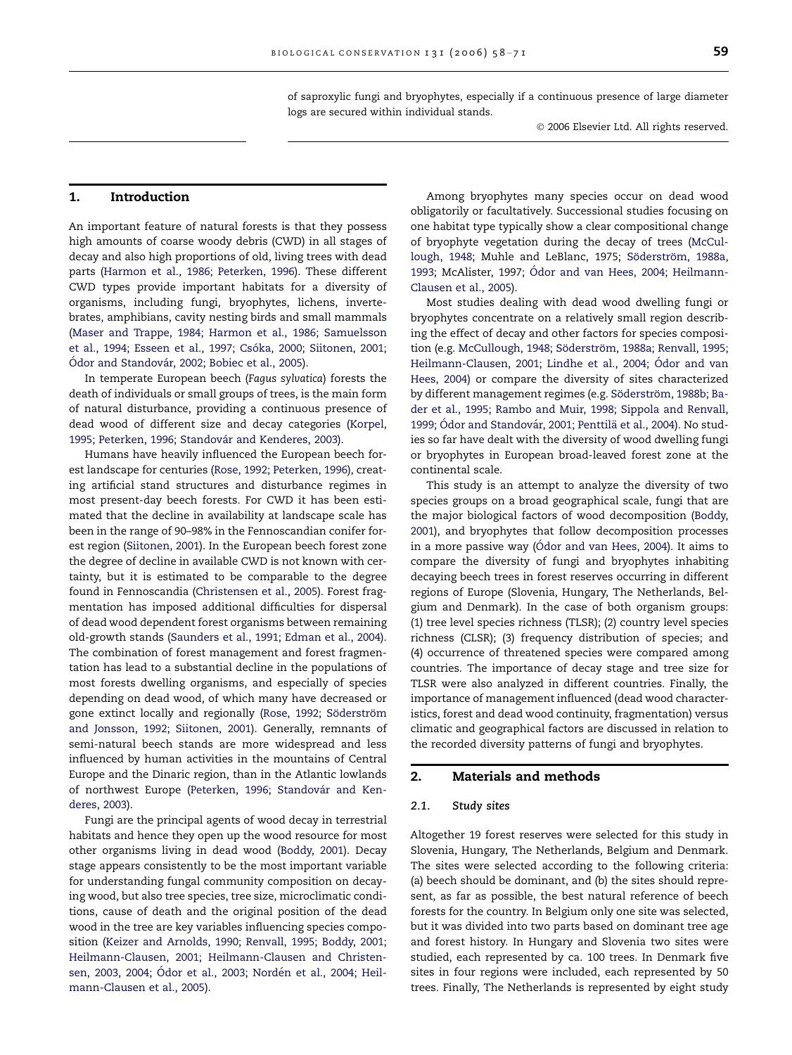© 2006 Elsevier Ltd. All rights reserved.

# 1. Introduction

An important feature of natural forests is that they possess high amounts of coarse woody debris (CWD) in all stages of decay and also high proportions of old, living trees with dead parts [\(Harmon et al., 1986; Peterken, 1996](#page-12-0)). These different CWD types provide important habitats for a diversity of organisms, including fungi, bryophytes, lichens, invertebrates, amphibians, cavity nesting birds and small mammals [\(Maser and Trappe, 1984; Harmon et al., 1986; Samuelsson](#page-13-0) et al., 1994; Esseen et al., 1997; Csóka, 2000; Siitonen, 2001; Ódor and Standová[r, 2002; Bobiec et al., 2005](#page-13-0)).

In temperate European beech (Fagus sylvatica) forests the death of individuals or small groups of trees, is the main form of natural disturbance, providing a continuous presence of dead wood of different size and decay categories [\(Korpel,](#page-12-0) 1995; Peterken, 1996; Standovár and Kenderes, 2003).

Humans have heavily influenced the European beech forest landscape for centuries ([Rose, 1992; Peterken, 1996](#page-13-0)), creating artificial stand structures and disturbance regimes in most present-day beech forests. For CWD it has been estimated that the decline in availability at landscape scale has been in the range of 90–98% in the Fennoscandian conifer forest region [\(Siitonen, 2001\)](#page-13-0). In the European beech forest zone the degree of decline in available CWD is not known with certainty, but it is estimated to be comparable to the degree found in Fennoscandia [\(Christensen et al., 2005\)](#page-12-0). Forest fragmentation has imposed additional difficulties for dispersal of dead wood dependent forest organisms between remaining old-growth stands ([Saunders et al., 1991; Edman et al., 2004](#page-13-0)). The combination of forest management and forest fragmentation has lead to a substantial decline in the populations of most forests dwelling organisms, and especially of species depending on dead wood, of which many have decreased or gone extinct locally and regionally (Rose, 1992; Söderström [and Jonsson, 1992; Siitonen, 2001\)](#page-13-0). Generally, remnants of semi-natural beech stands are more widespread and less influenced by human activities in the mountains of Central Europe and the Dinaric region, than in the Atlantic lowlands of northwest Europe (Peterken, 1996; Standovár and Ken[deres, 2003](#page-13-0)).

Fungi are the principal agents of wood decay in terrestrial habitats and hence they open up the wood resource for most other organisms living in dead wood ([Boddy, 2001](#page-12-0)). Decay stage appears consistently to be the most important variable for understanding fungal community composition on decaying wood, but also tree species, tree size, microclimatic conditions, cause of death and the original position of the dead wood in the tree are key variables influencing species composition ([Keizer and Arnolds, 1990; Renvall, 1995; Boddy, 2001;](#page-12-0) [Heilmann-Clausen, 2001; Heilmann-Clausen and Christen](#page-12-0)sen, 2003, 2004; Ódor et al., 2003; Nordén et al., 2004; Heil[mann-Clausen et al., 2005\)](#page-12-0).

Among bryophytes many species occur on dead wood obligatorily or facultatively. Successional studies focusing on one habitat type typically show a clear compositional change of bryophyte vegetation during the decay of trees [\(McCul](#page-13-0)[lough, 1948](#page-13-0); Muhle and LeBlanc, 1975; Söderström, 1988a, [1993](#page-13-0); McAlister, 1997; Ó[dor and van Hees, 2004; Heilmann-](#page-13-0)[Clausen et al., 2005\)](#page-13-0).

Most studies dealing with dead wood dwelling fungi or bryophytes concentrate on a relatively small region describing the effect of decay and other factors for species composition (e.g. McCullough, 1948; Söderström, 1988a; Renvall, 1995; Heilmann-Clausen, 2001; Lindhe et al., 2004; Ódor and van [Hees, 2004\)](#page-13-0) or compare the diversity of sites characterized by different management regimes (e.g. Söderström, 1988b; Ba[der et al., 1995; Rambo and Muir, 1998; Sippola and Renvall,](#page-13-0) 1999; Ódor and Standovár, 2001; Penttilä et al., 2004). No studies so far have dealt with the diversity of wood dwelling fungi or bryophytes in European broad-leaved forest zone at the continental scale.

This study is an attempt to analyze the diversity of two species groups on a broad geographical scale, fungi that are the major biological factors of wood decomposition [\(Boddy,](#page-12-0) [2001](#page-12-0)), and bryophytes that follow decomposition processes in a more passive way (O[dor and van Hees, 2004\)](#page-13-0). It aims to compare the diversity of fungi and bryophytes inhabiting decaying beech trees in forest reserves occurring in different regions of Europe (Slovenia, Hungary, The Netherlands, Belgium and Denmark). In the case of both organism groups: (1) tree level species richness (TLSR); (2) country level species richness (CLSR); (3) frequency distribution of species; and (4) occurrence of threatened species were compared among countries. The importance of decay stage and tree size for TLSR were also analyzed in different countries. Finally, the importance of management influenced (dead wood characteristics, forest and dead wood continuity, fragmentation) versus climatic and geographical factors are discussed in relation to the recorded diversity patterns of fungi and bryophytes.

# 2. Materials and methods

## 2.1. Study sites

Altogether 19 forest reserves were selected for this study in Slovenia, Hungary, The Netherlands, Belgium and Denmark. The sites were selected according to the following criteria: (a) beech should be dominant, and (b) the sites should represent, as far as possible, the best natural reference of beech forests for the country. In Belgium only one site was selected, but it was divided into two parts based on dominant tree age and forest history. In Hungary and Slovenia two sites were studied, each represented by ca. 100 trees. In Denmark five sites in four regions were included, each represented by 50 trees. Finally, The Netherlands is represented by eight study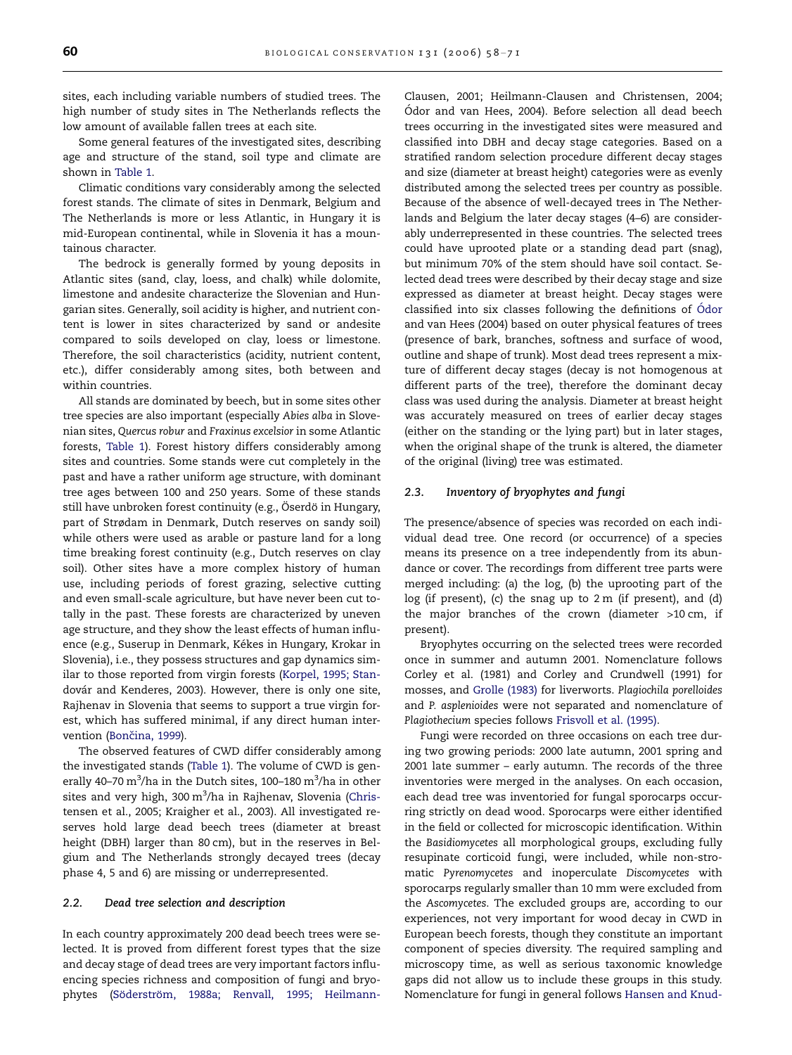sites, each including variable numbers of studied trees. The high number of study sites in The Netherlands reflects the low amount of available fallen trees at each site.

Some general features of the investigated sites, describing age and structure of the stand, soil type and climate are shown in [Table 1](#page-3-0).

Climatic conditions vary considerably among the selected forest stands. The climate of sites in Denmark, Belgium and The Netherlands is more or less Atlantic, in Hungary it is mid-European continental, while in Slovenia it has a mountainous character.

The bedrock is generally formed by young deposits in Atlantic sites (sand, clay, loess, and chalk) while dolomite, limestone and andesite characterize the Slovenian and Hungarian sites. Generally, soil acidity is higher, and nutrient content is lower in sites characterized by sand or andesite compared to soils developed on clay, loess or limestone. Therefore, the soil characteristics (acidity, nutrient content, etc.), differ considerably among sites, both between and within countries.

All stands are dominated by beech, but in some sites other tree species are also important (especially Abies alba in Slovenian sites, Quercus robur and Fraxinus excelsior in some Atlantic forests, [Table 1](#page-3-0)). Forest history differs considerably among sites and countries. Some stands were cut completely in the past and have a rather uniform age structure, with dominant tree ages between 100 and 250 years. Some of these stands still have unbroken forest continuity (e.g., Öserdö in Hungary, part of Strødam in Denmark, Dutch reserves on sandy soil) while others were used as arable or pasture land for a long time breaking forest continuity (e.g., Dutch reserves on clay soil). Other sites have a more complex history of human use, including periods of forest grazing, selective cutting and even small-scale agriculture, but have never been cut totally in the past. These forests are characterized by uneven age structure, and they show the least effects of human influence (e.g., Suserup in Denmark, Kékes in Hungary, Krokar in Slovenia), i.e., they possess structures and gap dynamics similar to those reported from virgin forests [\(Korpel, 1995; Stan](#page-12-0)dová[r and Kenderes, 2003](#page-12-0)). However, there is only one site, Rajhenav in Slovenia that seems to support a true virgin forest, which has suffered minimal, if any direct human intervention (Bončina, 1999).

The observed features of CWD differ considerably among the investigated stands [\(Table 1\)](#page-3-0). The volume of CWD is generally 40–70 m $3/h$ a in the Dutch sites, 100–180 m $3/h$ a in other sites and very high, 300 m<sup>3</sup>/ha in Rajhenav, Slovenia [\(Chris](#page-12-0)[tensen et al., 2005; Kraigher et al., 2003](#page-12-0)). All investigated reserves hold large dead beech trees (diameter at breast height (DBH) larger than 80 cm), but in the reserves in Belgium and The Netherlands strongly decayed trees (decay phase 4, 5 and 6) are missing or underrepresented.

# 2.2. Dead tree selection and description

In each country approximately 200 dead beech trees were selected. It is proved from different forest types that the size and decay stage of dead trees are very important factors influencing species richness and composition of fungi and bryophytes (Söderström, 1988a; Renvall, 1995; Heilmann[Clausen, 2001; Heilmann-Clausen and Christensen, 2004;](#page-13-0) Ó[dor and van Hees, 2004](#page-13-0)). Before selection all dead beech trees occurring in the investigated sites were measured and classified into DBH and decay stage categories. Based on a stratified random selection procedure different decay stages and size (diameter at breast height) categories were as evenly distributed among the selected trees per country as possible. Because of the absence of well-decayed trees in The Netherlands and Belgium the later decay stages (4–6) are considerably underrepresented in these countries. The selected trees could have uprooted plate or a standing dead part (snag), but minimum 70% of the stem should have soil contact. Selected dead trees were described by their decay stage and size expressed as diameter at breast height. Decay stages were classified into six classes following the definitions of Ó[dor](#page-13-0) [and van Hees \(2004\)](#page-13-0) based on outer physical features of trees (presence of bark, branches, softness and surface of wood, outline and shape of trunk). Most dead trees represent a mixture of different decay stages (decay is not homogenous at different parts of the tree), therefore the dominant decay class was used during the analysis. Diameter at breast height was accurately measured on trees of earlier decay stages (either on the standing or the lying part) but in later stages, when the original shape of the trunk is altered, the diameter of the original (living) tree was estimated.

## 2.3. Inventory of bryophytes and fungi

The presence/absence of species was recorded on each individual dead tree. One record (or occurrence) of a species means its presence on a tree independently from its abundance or cover. The recordings from different tree parts were merged including: (a) the log, (b) the uprooting part of the log (if present), (c) the snag up to 2 m (if present), and (d) the major branches of the crown (diameter >10 cm, if present).

Bryophytes occurring on the selected trees were recorded once in summer and autumn 2001. Nomenclature follows [Corley et al. \(1981\) and Corley and Crundwell \(1991\)](#page-12-0) for mosses, and [Grolle \(1983\)](#page-12-0) for liverworts. Plagiochila porelloides and P. asplenioides were not separated and nomenclature of Plagiothecium species follows [Frisvoll et al. \(1995\)](#page-12-0).

Fungi were recorded on three occasions on each tree during two growing periods: 2000 late autumn, 2001 spring and 2001 late summer – early autumn. The records of the three inventories were merged in the analyses. On each occasion, each dead tree was inventoried for fungal sporocarps occurring strictly on dead wood. Sporocarps were either identified in the field or collected for microscopic identification. Within the Basidiomycetes all morphological groups, excluding fully resupinate corticoid fungi, were included, while non-stromatic Pyrenomycetes and inoperculate Discomycetes with sporocarps regularly smaller than 10 mm were excluded from the Ascomycetes. The excluded groups are, according to our experiences, not very important for wood decay in CWD in European beech forests, though they constitute an important component of species diversity. The required sampling and microscopy time, as well as serious taxonomic knowledge gaps did not allow us to include these groups in this study. Nomenclature for fungi in general follows [Hansen and Knud-](#page-12-0)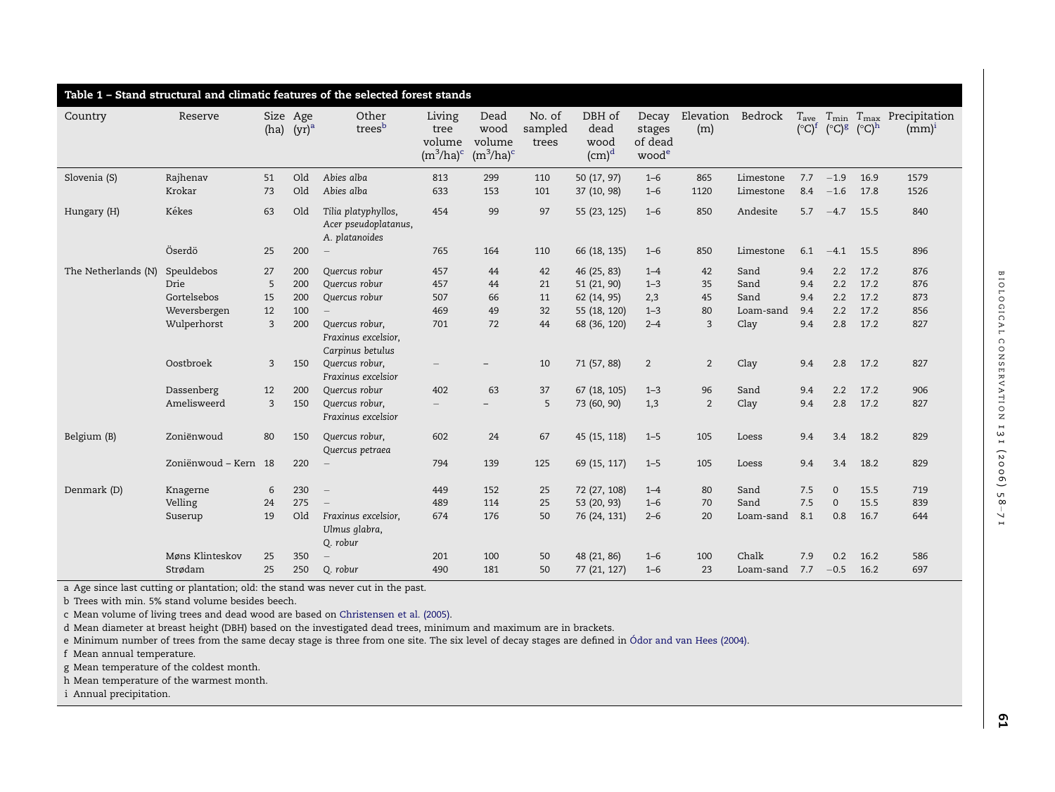<span id="page-3-0"></span>

| Table 1 - Stand structural and climatic features of the selected forest stands |                      |      |                      |                                                               |                                          |                                        |                            |                                             |                                                 |                  |           |                                      |                 |                                                    |                           |
|--------------------------------------------------------------------------------|----------------------|------|----------------------|---------------------------------------------------------------|------------------------------------------|----------------------------------------|----------------------------|---------------------------------------------|-------------------------------------------------|------------------|-----------|--------------------------------------|-----------------|----------------------------------------------------|---------------------------|
| Country                                                                        | Reserve              | (ha) | Size Age<br>$(yr)^a$ | Other<br>trees <sup>b</sup>                                   | Living<br>tree<br>volume<br>$(m^3/ha)^c$ | Dead<br>wood<br>volume<br>$(m^3/ha)^c$ | No. of<br>sampled<br>trees | DBH of<br>dead<br>wood<br>(cm) <sup>d</sup> | Decay<br>stages<br>of dead<br>wood <sup>e</sup> | Elevation<br>(m) | Bedrock   | $T_{\rm ave}$<br>$({}^{\circ}C)^{r}$ | $(^{\circ}C)^g$ | $T_{\rm min}$ $T_{\rm max}$<br>$({}^{\circ}C)^{h}$ | Precipitation<br>$(mm)^i$ |
| Slovenia (S)                                                                   | Rajhenav             | 51   | Old                  | Abies alba                                                    | 813                                      | 299                                    | 110                        | 50 (17, 97)                                 | $1 - 6$                                         | 865              | Limestone |                                      | $7.7 - 1.9$     | 16.9                                               | 1579                      |
|                                                                                | Krokar               | 73   | Old                  | Abies alba                                                    | 633                                      | 153                                    | 101                        | 37 (10, 98)                                 | $1 - 6$                                         | 1120             | Limestone | 8.4                                  | $-1.6$          | 17.8                                               | 1526                      |
| Hungary (H)                                                                    | Kékes                | 63   | Old                  | Tilia platyphyllos,<br>Acer pseudoplatanus,<br>A. platanoides | 454                                      | 99                                     | 97                         | 55 (23, 125)                                | $1 - 6$                                         | 850              | Andesite  |                                      | $5.7 -4.7$      | 15.5                                               | 840                       |
|                                                                                | Öserdö               | 25   | 200                  |                                                               | 765                                      | 164                                    | 110                        | 66 (18, 135)                                | $1 - 6$                                         | 850              | Limestone | 6.1                                  | $-4.1$          | 15.5                                               | 896                       |
| The Netherlands (N)                                                            | Speuldebos           | 27   | 200                  | Quercus robur                                                 | 457                                      | 44                                     | 42                         | 46 (25, 83)                                 | $1 - 4$                                         | 42               | Sand      | 9.4                                  | 2.2             | 17.2                                               | 876                       |
|                                                                                | Drie                 | 5    | 200                  | Quercus robur                                                 | 457                                      | 44                                     | 21                         | 51 (21, 90)                                 | $1 - 3$                                         | 35               | Sand      | 9.4                                  | 2.2             | 17.2                                               | 876                       |
|                                                                                | Gortelsebos          | 15   | 200                  | Quercus robur                                                 | 507                                      | 66                                     | 11                         | 62 (14, 95)                                 | 2,3                                             | 45               | Sand      | 9.4                                  | 2.2             | 17.2                                               | 873                       |
|                                                                                | Weversbergen         | 12   | 100                  | $\overline{\phantom{m}}$                                      | 469                                      | 49                                     | 32                         | 55 (18, 120)                                | $1 - 3$                                         | 80               | Loam-sand | 9.4                                  | 2.2             | 17.2                                               | 856                       |
|                                                                                | Wulperhorst          | 3    | 200                  | Quercus robur,<br>Fraxinus excelsior,<br>Carpinus betulus     | 701                                      | 72                                     | 44                         | 68 (36, 120)                                | $2 - 4$                                         | 3                | Clay      | 9.4                                  | 2.8             | 17.2                                               | 827                       |
|                                                                                | Oostbroek            | 3    | 150                  | Quercus robur,<br>Fraxinus excelsior                          |                                          |                                        | 10                         | 71 (57, 88)                                 | $\overline{2}$                                  | $\overline{2}$   | Clay      | 9.4                                  | 2.8             | 17.2                                               | 827                       |
|                                                                                | Dassenberg           | 12   | 200                  | Quercus robur                                                 | 402                                      | 63                                     | 37                         | 67 (18, 105)                                | $1 - 3$                                         | 96               | Sand      | 9.4                                  | 2.2             | 17.2                                               | 906                       |
|                                                                                | Amelisweerd          | 3    | 150                  | Quercus robur,<br>Fraxinus excelsior                          | $\qquad \qquad -$                        | -                                      | 5                          | 73 (60, 90)                                 | 1,3                                             | $\overline{2}$   | Clay      | 9.4                                  | 2.8             | 17.2                                               | 827                       |
| Belgium (B)                                                                    | Zoniënwoud           | 80   | 150                  | Quercus robur,<br>Quercus petraea                             | 602                                      | 24                                     | 67                         | 45 (15, 118)                                | $1 - 5$                                         | 105              | Loess     | 9.4                                  | 3.4             | 18.2                                               | 829                       |
|                                                                                | Zoniënwoud - Kern 18 |      | 220                  | $\qquad \qquad -$                                             | 794                                      | 139                                    | 125                        | 69 (15, 117)                                | $1 - 5$                                         | 105              | Loess     | 9.4                                  | 3.4             | 18.2                                               | 829                       |
| Denmark (D)                                                                    | Knagerne             | 6    | 230                  | $\hspace{0.1mm}-\hspace{0.1mm}$                               | 449                                      | 152                                    | 25                         | 72 (27, 108)                                | $1 - 4$                                         | 80               | Sand      | 7.5                                  | $\mathbf{0}$    | 15.5                                               | 719                       |
|                                                                                | Velling              | 24   | 275                  |                                                               | 489                                      | 114                                    | 25                         | 53 (20, 93)                                 | $1 - 6$                                         | 70               | Sand      | 7.5                                  | $\Omega$        | 15.5                                               | 839                       |
|                                                                                | Suserup              | 19   | Old                  | Fraxinus excelsior,<br>Ulmus glabra,<br>Q. robur              | 674                                      | 176                                    | 50                         | 76 (24, 131)                                | $2 - 6$                                         | 20               | Loam-sand | 8.1                                  | 0.8             | 16.7                                               | 644                       |
|                                                                                | Møns Klinteskov      | 25   | 350                  |                                                               | 201                                      | 100                                    | 50                         | 48 (21, 86)                                 | $1 - 6$                                         | 100              | Chalk     | 7.9                                  | 0.2             | 16.2                                               | 586                       |
|                                                                                | Strødam              | 25   | 250                  | Q. robur                                                      | 490                                      | 181                                    | 50                         | 77 (21, 127)                                | $1 - 6$                                         | 23               | Loam-sand | 7.7                                  | $-0.5$          | 16.2                                               | 697                       |

<sup>a</sup> Age since last cutting or plantation; old: the stand was never cut in the past.

b Trees with min. 5% stand volume besides beech.

<sup>c</sup> Mean volume of living trees and dead wood are based on [Christensen](#page-12-0) et al. (2005).

d Mean diameter at breast height (DBH) based on the investigated dead trees, minimum and maximum are in brackets.

e Minimum number of trees from the same decay stage is three from one site. The six level of decay stages are defined in Ódor and van Hees [\(2004\)](#page-13-0).

f Mean annual temperature.

g Mean temperature of the coldest month.

h Mean temperature of the warmest month.

i Annual precipitation.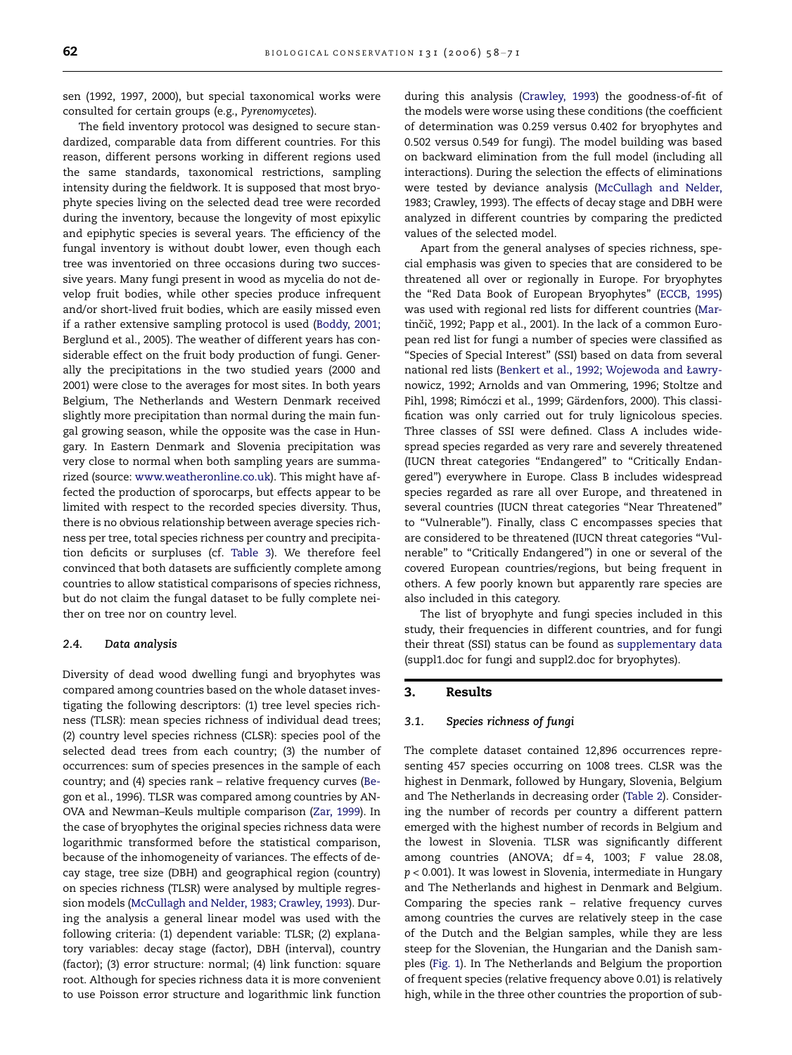[sen \(1992, 1997, 2000\)](#page-12-0), but special taxonomical works were consulted for certain groups (e.g., Pyrenomycetes).

The field inventory protocol was designed to secure standardized, comparable data from different countries. For this reason, different persons working in different regions used the same standards, taxonomical restrictions, sampling intensity during the fieldwork. It is supposed that most bryophyte species living on the selected dead tree were recorded during the inventory, because the longevity of most epixylic and epiphytic species is several years. The efficiency of the fungal inventory is without doubt lower, even though each tree was inventoried on three occasions during two successive years. Many fungi present in wood as mycelia do not develop fruit bodies, while other species produce infrequent and/or short-lived fruit bodies, which are easily missed even if a rather extensive sampling protocol is used ([Boddy, 2001;](#page-12-0) [Berglund et al., 2005](#page-12-0)). The weather of different years has considerable effect on the fruit body production of fungi. Generally the precipitations in the two studied years (2000 and 2001) were close to the averages for most sites. In both years Belgium, The Netherlands and Western Denmark received slightly more precipitation than normal during the main fungal growing season, while the opposite was the case in Hungary. In Eastern Denmark and Slovenia precipitation was very close to normal when both sampling years are summarized (source: [www.weatheronline.co.uk](http://www.weatheronline.co.uk)). This might have affected the production of sporocarps, but effects appear to be limited with respect to the recorded species diversity. Thus, there is no obvious relationship between average species richness per tree, total species richness per country and precipitation deficits or surpluses (cf. [Table 3\)](#page-6-0). We therefore feel convinced that both datasets are sufficiently complete among countries to allow statistical comparisons of species richness, but do not claim the fungal dataset to be fully complete neither on tree nor on country level.

#### 2.4. Data analysis

Diversity of dead wood dwelling fungi and bryophytes was compared among countries based on the whole dataset investigating the following descriptors: (1) tree level species richness (TLSR): mean species richness of individual dead trees; (2) country level species richness (CLSR): species pool of the selected dead trees from each country; (3) the number of occurrences: sum of species presences in the sample of each country; and (4) species rank – relative frequency curves ([Be](#page-12-0)[gon et al., 1996\)](#page-12-0). TLSR was compared among countries by AN-OVA and Newman–Keuls multiple comparison (Zar, 1999). In the case of bryophytes the original species richness data were logarithmic transformed before the statistical comparison, because of the inhomogeneity of variances. The effects of decay stage, tree size (DBH) and geographical region (country) on species richness (TLSR) were analysed by multiple regression models ([McCullagh and Nelder, 1983; Crawley, 1993](#page-13-0)). During the analysis a general linear model was used with the following criteria: (1) dependent variable: TLSR; (2) explanatory variables: decay stage (factor), DBH (interval), country (factor); (3) error structure: normal; (4) link function: square root. Although for species richness data it is more convenient to use Poisson error structure and logarithmic link function

during this analysis ([Crawley, 1993](#page-12-0)) the goodness-of-fit of the models were worse using these conditions (the coefficient of determination was 0.259 versus 0.402 for bryophytes and 0.502 versus 0.549 for fungi). The model building was based on backward elimination from the full model (including all interactions). During the selection the effects of eliminations were tested by deviance analysis ([McCullagh and Nelder,](#page-13-0) [1983; Crawley, 1993\)](#page-13-0). The effects of decay stage and DBH were analyzed in different countries by comparing the predicted values of the selected model.

Apart from the general analyses of species richness, special emphasis was given to species that are considered to be threatened all over or regionally in Europe. For bryophytes the ''Red Data Book of European Bryophytes'' ([ECCB, 1995\)](#page-12-0) was used with regional red lists for different countries [\(Mar](#page-13-0)tinčič, 1992; Papp et al., 2001). In the lack of a common European red list for fungi a number of species were classified as "Species of Special Interest" (SSI) based on data from several national red lists [\(Benkert et al., 1992; Wojewoda and Ławry](#page-12-0)[nowicz, 1992; Arnolds and van Ommering, 1996; Stoltze and](#page-12-0) Pihl, 1998; Rimóczi et al., 1999; Gärdenfors, 2000). This classification was only carried out for truly lignicolous species. Three classes of SSI were defined. Class A includes widespread species regarded as very rare and severely threatened (IUCN threat categories "Endangered" to "Critically Endangered'') everywhere in Europe. Class B includes widespread species regarded as rare all over Europe, and threatened in several countries (IUCN threat categories ''Near Threatened'' to ''Vulnerable''). Finally, class C encompasses species that are considered to be threatened (IUCN threat categories ''Vulnerable" to "Critically Endangered") in one or several of the covered European countries/regions, but being frequent in others. A few poorly known but apparently rare species are also included in this category.

The list of bryophyte and fungi species included in this study, their frequencies in different countries, and for fungi their threat (SSI) status can be found as supplementary data (suppl1.doc for fungi and suppl2.doc for bryophytes).

## 3. Results

#### 3.1. Species richness of fungi

The complete dataset contained 12,896 occurrences representing 457 species occurring on 1008 trees. CLSR was the highest in Denmark, followed by Hungary, Slovenia, Belgium and The Netherlands in decreasing order ([Table 2\)](#page-5-0). Considering the number of records per country a different pattern emerged with the highest number of records in Belgium and the lowest in Slovenia. TLSR was significantly different among countries (ANOVA;  $df = 4$ , 1003; F value 28.08,  $p < 0.001$ ). It was lowest in Slovenia, intermediate in Hungary and The Netherlands and highest in Denmark and Belgium. Comparing the species rank – relative frequency curves among countries the curves are relatively steep in the case of the Dutch and the Belgian samples, while they are less steep for the Slovenian, the Hungarian and the Danish samples ([Fig. 1](#page-5-0)). In The Netherlands and Belgium the proportion of frequent species (relative frequency above 0.01) is relatively high, while in the three other countries the proportion of sub-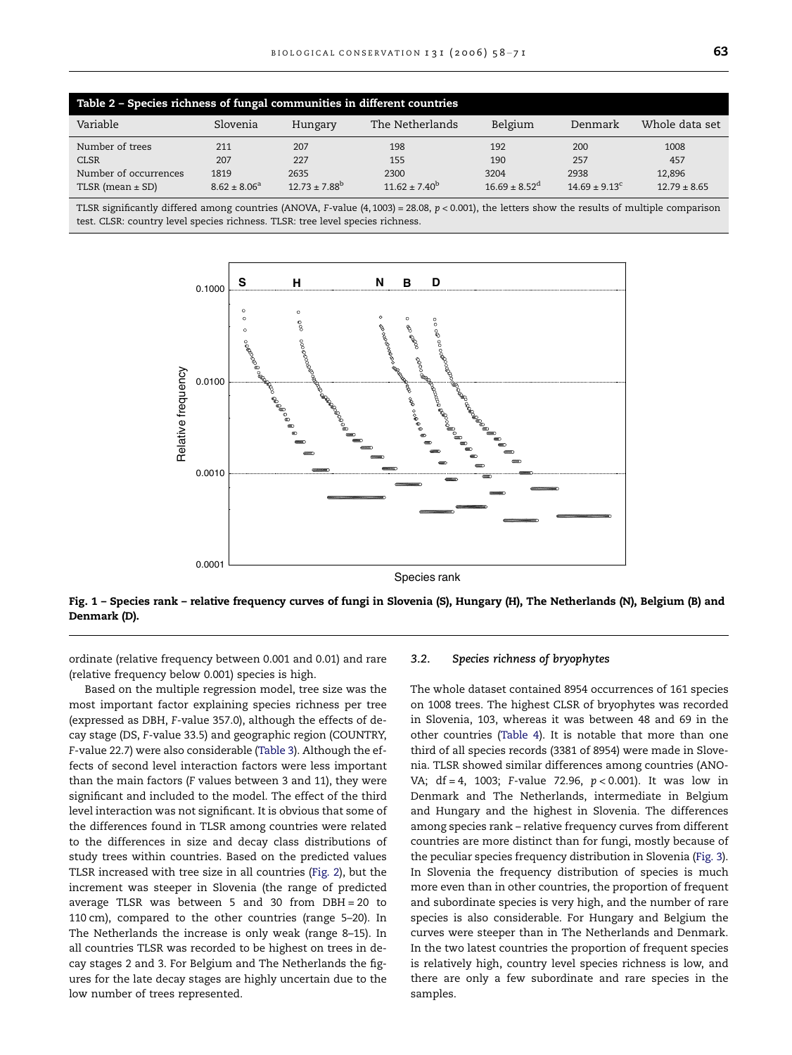<span id="page-5-0"></span>

| Table 2 - Species richness of fungal communities in different countries |                   |                          |                    |                    |                               |                  |  |  |  |  |
|-------------------------------------------------------------------------|-------------------|--------------------------|--------------------|--------------------|-------------------------------|------------------|--|--|--|--|
| Variable                                                                | Slovenia          | Hungary                  | The Netherlands    | Belgium            | Denmark                       | Whole data set   |  |  |  |  |
| Number of trees                                                         | 211               | 207                      | 198                | 192                | 200                           | 1008             |  |  |  |  |
| <b>CLSR</b>                                                             | 207               | 227                      | 155                | 190                | 257                           | 457              |  |  |  |  |
| Number of occurrences                                                   | 1819              | 2635                     | 2300               | 3204               | 2938                          | 12,896           |  |  |  |  |
| TLSR (mean $\pm$ SD)                                                    | $8.62 \pm 8.06^a$ | $12.73 \pm 7.88^{\rm b}$ | $11.62 \pm 7.40^b$ | $16.69 \pm 8.52^d$ | $14.69 \pm 9.13$ <sup>c</sup> | $12.79 \pm 8.65$ |  |  |  |  |

TLSR significantly differed among countries (ANOVA, F-value  $(4,1003) = 28.08$ ,  $p < 0.001$ ), the letters show the results of multiple comparison test. CLSR: country level species richness. TLSR: tree level species richness.



Fig. 1 – Species rank – relative frequency curves of fungi in Slovenia (S), Hungary (H), The Netherlands (N), Belgium (B) and Denmark (D).

ordinate (relative frequency between 0.001 and 0.01) and rare (relative frequency below 0.001) species is high.

Based on the multiple regression model, tree size was the most important factor explaining species richness per tree (expressed as DBH, F-value 357.0), although the effects of decay stage (DS, F-value 33.5) and geographic region (COUNTRY, F-value 22.7) were also considerable [\(Table 3](#page-6-0)). Although the effects of second level interaction factors were less important than the main factors (F values between 3 and 11), they were significant and included to the model. The effect of the third level interaction was not significant. It is obvious that some of the differences found in TLSR among countries were related to the differences in size and decay class distributions of study trees within countries. Based on the predicted values TLSR increased with tree size in all countries ([Fig. 2](#page-6-0)), but the increment was steeper in Slovenia (the range of predicted average TLSR was between 5 and 30 from DBH = 20 to 110 cm), compared to the other countries (range 5–20). In The Netherlands the increase is only weak (range 8–15). In all countries TLSR was recorded to be highest on trees in decay stages 2 and 3. For Belgium and The Netherlands the figures for the late decay stages are highly uncertain due to the low number of trees represented.

## 3.2. Species richness of bryophytes

The whole dataset contained 8954 occurrences of 161 species on 1008 trees. The highest CLSR of bryophytes was recorded in Slovenia, 103, whereas it was between 48 and 69 in the other countries ([Table 4\)](#page-6-0). It is notable that more than one third of all species records (3381 of 8954) were made in Slovenia. TLSR showed similar differences among countries (ANO-VA;  $df = 4$ , 1003; F-value 72.96,  $p < 0.001$ ). It was low in Denmark and The Netherlands, intermediate in Belgium and Hungary and the highest in Slovenia. The differences among species rank – relative frequency curves from different countries are more distinct than for fungi, mostly because of the peculiar species frequency distribution in Slovenia ([Fig. 3](#page-7-0)). In Slovenia the frequency distribution of species is much more even than in other countries, the proportion of frequent and subordinate species is very high, and the number of rare species is also considerable. For Hungary and Belgium the curves were steeper than in The Netherlands and Denmark. In the two latest countries the proportion of frequent species is relatively high, country level species richness is low, and there are only a few subordinate and rare species in the samples.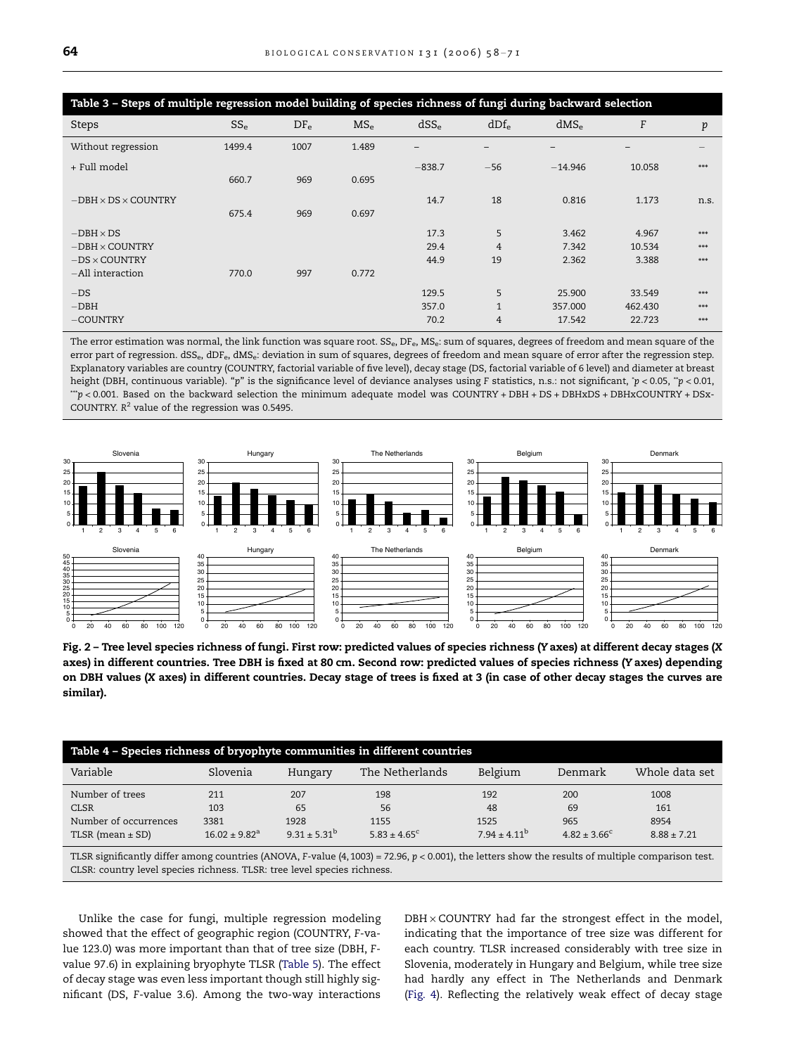<span id="page-6-0"></span>

| Table 3 - Steps of multiple regression model building of species richness of fungi during backward selection |              |             |        |                        |                                     |                             |                             |                         |  |  |  |
|--------------------------------------------------------------------------------------------------------------|--------------|-------------|--------|------------------------|-------------------------------------|-----------------------------|-----------------------------|-------------------------|--|--|--|
| <b>Steps</b>                                                                                                 | $SS_{\rm e}$ | $DF_{\rho}$ | $MS_e$ | dSS <sub>e</sub>       | $dDf_e$                             | dMS <sub>e</sub>            | F                           | p                       |  |  |  |
| Without regression                                                                                           | 1499.4       | 1007        | 1.489  | $\qquad \qquad -$      | -                                   |                             | -                           |                         |  |  |  |
| + Full model                                                                                                 | 660.7        | 969         | 0.695  | $-838.7$               | $-56$                               | $-14.946$                   | 10.058                      | ***                     |  |  |  |
| $-DBH \times DS \times COUNTRY$                                                                              | 675.4        | 969         | 0.697  | 14.7                   | 18                                  | 0.816                       | 1.173                       | n.s.                    |  |  |  |
| $-DBH \times DS$<br>$-DBH \times COUNTRY$<br>$-DS \times COUNTRY$<br>-All interaction                        | 770.0        | 997         | 0.772  | 17.3<br>29.4<br>44.9   | 5<br>$\overline{4}$<br>19           | 3.462<br>7.342<br>2.362     | 4.967<br>10.534<br>3.388    | $***$<br>$***$<br>$***$ |  |  |  |
| $-DS$<br>$-DBH$<br>$-COUNTRY$                                                                                |              |             |        | 129.5<br>357.0<br>70.2 | 5<br>$\mathbf{1}$<br>$\overline{4}$ | 25.900<br>357,000<br>17.542 | 33.549<br>462.430<br>22.723 | ***<br>***<br>$***$     |  |  |  |

The error estimation was normal, the link function was square root. SS<sub>e</sub>, DF<sub>e</sub>, MS<sub>e</sub>: sum of squares, degrees of freedom and mean square of the error part of regression. dSS<sub>e</sub>, dDF<sub>e</sub>, dMS<sub>e</sub>: deviation in sum of squares, degrees of freedom and mean square of error after the regression step. Explanatory variables are country (COUNTRY, factorial variable of five level), decay stage (DS, factorial variable of 6 level) and diameter at breast height (DBH, continuous variable). "p" is the significance level of deviance analyses using F statistics, n.s.: not significant, "p < 0.05, "p < 0.01, \*\*\*p < 0.001. Based on the backward selection the minimum adequate model was COUNTRY + DBH + DS + DBHxDS + DBHxCOUNTRY + DSx-COUNTRY.  $R^2$  value of the regression was 0.5495.



Fig. 2 – Tree level species richness of fungi. First row: predicted values of species richness (Yaxes) at different decay stages (X axes) in different countries. Tree DBH is fixed at 80 cm. Second row: predicted values of species richness (Y axes) depending on DBH values (X axes) in different countries. Decay stage of trees is fixed at 3 (in case of other decay stages the curves are similar).

| Table 4 - Species richness of bryophyte communities in different countries |                    |                   |                         |               |                         |                 |  |  |  |  |
|----------------------------------------------------------------------------|--------------------|-------------------|-------------------------|---------------|-------------------------|-----------------|--|--|--|--|
| Variable                                                                   | Slovenia           | Hungary           | The Netherlands         | Belgium       | Denmark                 | Whole data set  |  |  |  |  |
| Number of trees<br><b>CLSR</b>                                             | 211<br>103         | 207<br>65         | 198<br>56               | 192<br>48     | 200<br>69               | 1008<br>161     |  |  |  |  |
| Number of occurrences                                                      | 3381               | 1928              | 1155                    | 1525          | 965                     | 8954            |  |  |  |  |
| TLSR (mean $\pm$ SD)                                                       | $16.02 \pm 9.82^a$ | $9.31 \pm 5.31^b$ | $5.83 \pm 4.65^{\circ}$ | $794 + 411^b$ | $4.82 \pm 3.66^{\circ}$ | $8.88 \pm 7.21$ |  |  |  |  |

TLSR significantly differ among countries (ANOVA, F-value (4, 1003) = 72.96,  $p < 0.001$ ), the letters show the results of multiple comparison test. CLSR: country level species richness. TLSR: tree level species richness.

Unlike the case for fungi, multiple regression modeling showed that the effect of geographic region (COUNTRY, F-value 123.0) was more important than that of tree size (DBH, Fvalue 97.6) in explaining bryophyte TLSR ([Table 5\)](#page-7-0). The effect of decay stage was even less important though still highly significant (DS, F-value 3.6). Among the two-way interactions

 $DBH \times COUNTRY$  had far the strongest effect in the model, indicating that the importance of tree size was different for each country. TLSR increased considerably with tree size in Slovenia, moderately in Hungary and Belgium, while tree size had hardly any effect in The Netherlands and Denmark ([Fig. 4](#page-8-0)). Reflecting the relatively weak effect of decay stage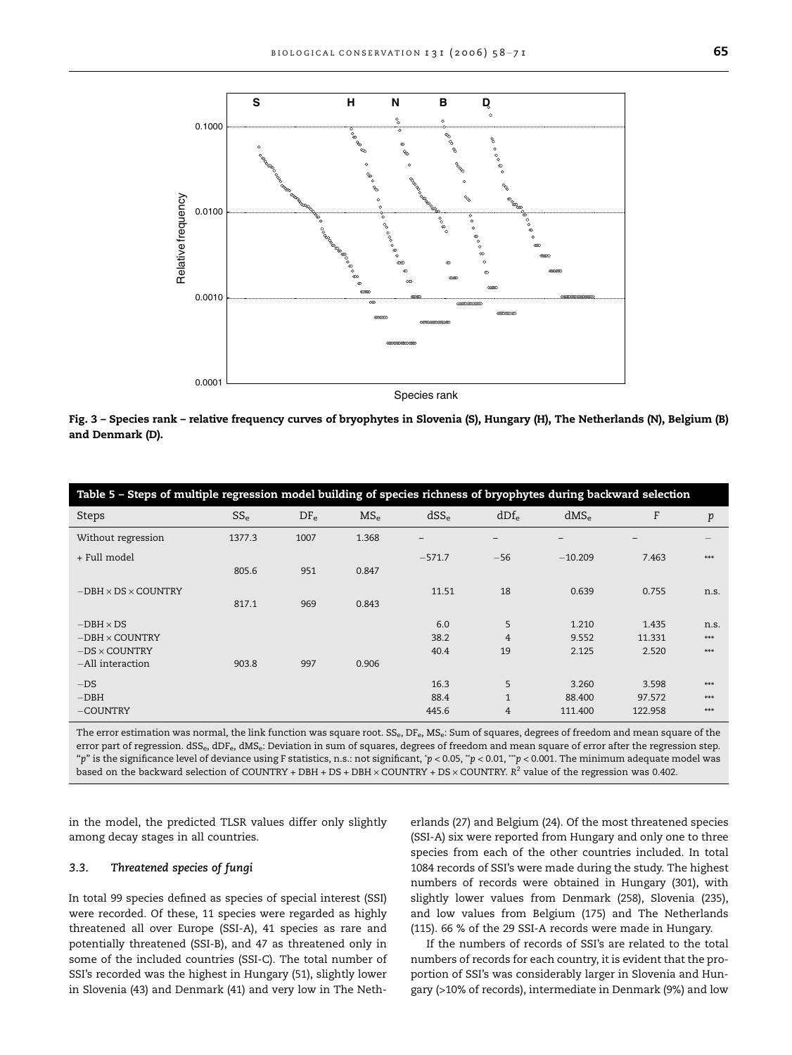<span id="page-7-0"></span>

Fig. 3 – Species rank – relative frequency curves of bryophytes in Slovenia (S), Hungary (H), The Netherlands (N), Belgium (B) and Denmark (D).

| Table 5 - Steps of multiple regression model building of species richness of bryophytes during backward selection |              |             |        |                       |                                     |                            |                            |                         |  |  |
|-------------------------------------------------------------------------------------------------------------------|--------------|-------------|--------|-----------------------|-------------------------------------|----------------------------|----------------------------|-------------------------|--|--|
| Steps                                                                                                             | $SS_{\rm e}$ | $DF_{\rho}$ | $MS_e$ | dSS <sub>e</sub>      | $dDf_e$                             | $dMS_{\rm e}$              | F                          | p                       |  |  |
| Without regression                                                                                                | 1377.3       | 1007        | 1.368  |                       | -                                   |                            | $\overline{\phantom{0}}$   |                         |  |  |
| + Full model                                                                                                      | 805.6        | 951         | 0.847  | $-571.7$              | $-56$                               | $-10.209$                  | 7.463                      | $***$                   |  |  |
| $-DBH \times DS \times COUNTRY$                                                                                   | 817.1        | 969         | 0.843  | 11.51                 | 18                                  | 0.639                      | 0.755                      | n.s.                    |  |  |
| $-DBH \times DS$<br>$-DBH \times COUNTRY$<br>$-DS \times COUNTRY$<br>-All interaction                             | 903.8        | 997         | 0.906  | 6.0<br>38.2<br>40.4   | 5<br>$\overline{4}$<br>19           | 1.210<br>9.552<br>2.125    | 1.435<br>11.331<br>2.520   | n.s.<br>$***$<br>$***$  |  |  |
| $-DS$<br>$-DBH$<br>-COUNTRY                                                                                       |              |             |        | 16.3<br>88.4<br>445.6 | 5<br>$\mathbf{1}$<br>$\overline{4}$ | 3.260<br>88.400<br>111.400 | 3.598<br>97.572<br>122.958 | $***$<br>$***$<br>$***$ |  |  |

The error estimation was normal, the link function was square root. SS<sub>e</sub>, DF<sub>e</sub>, MS<sub>e</sub>: Sum of squares, degrees of freedom and mean square of the error part of regression. dSS<sub>e</sub>, dDF<sub>e</sub>, dMS<sub>e</sub>: Deviation in sum of squares, degrees of freedom and mean square of error after the regression step. "p" is the significance level of deviance using F statistics, n.s.: not significant, "p < 0.05, "p < 0.01, ""p < 0.001. The minimum adequate model was based on the backward selection of COUNTRY + DBH + DS + DBH  $\times$  COUNTRY + DS  $\times$  COUNTRY. R<sup>2</sup> value of the regression was 0.402.

in the model, the predicted TLSR values differ only slightly among decay stages in all countries.

## 3.3. Threatened species of fungi

In total 99 species defined as species of special interest (SSI) were recorded. Of these, 11 species were regarded as highly threatened all over Europe (SSI-A), 41 species as rare and potentially threatened (SSI-B), and 47 as threatened only in some of the included countries (SSI-C). The total number of SSI's recorded was the highest in Hungary (51), slightly lower in Slovenia (43) and Denmark (41) and very low in The Neth-

erlands (27) and Belgium (24). Of the most threatened species (SSI-A) six were reported from Hungary and only one to three species from each of the other countries included. In total 1084 records of SSI's were made during the study. The highest numbers of records were obtained in Hungary (301), with slightly lower values from Denmark (258), Slovenia (235), and low values from Belgium (175) and The Netherlands (115). 66 % of the 29 SSI-A records were made in Hungary.

If the numbers of records of SSI's are related to the total numbers of records for each country, it is evident that the proportion of SSI's was considerably larger in Slovenia and Hungary (>10% of records), intermediate in Denmark (9%) and low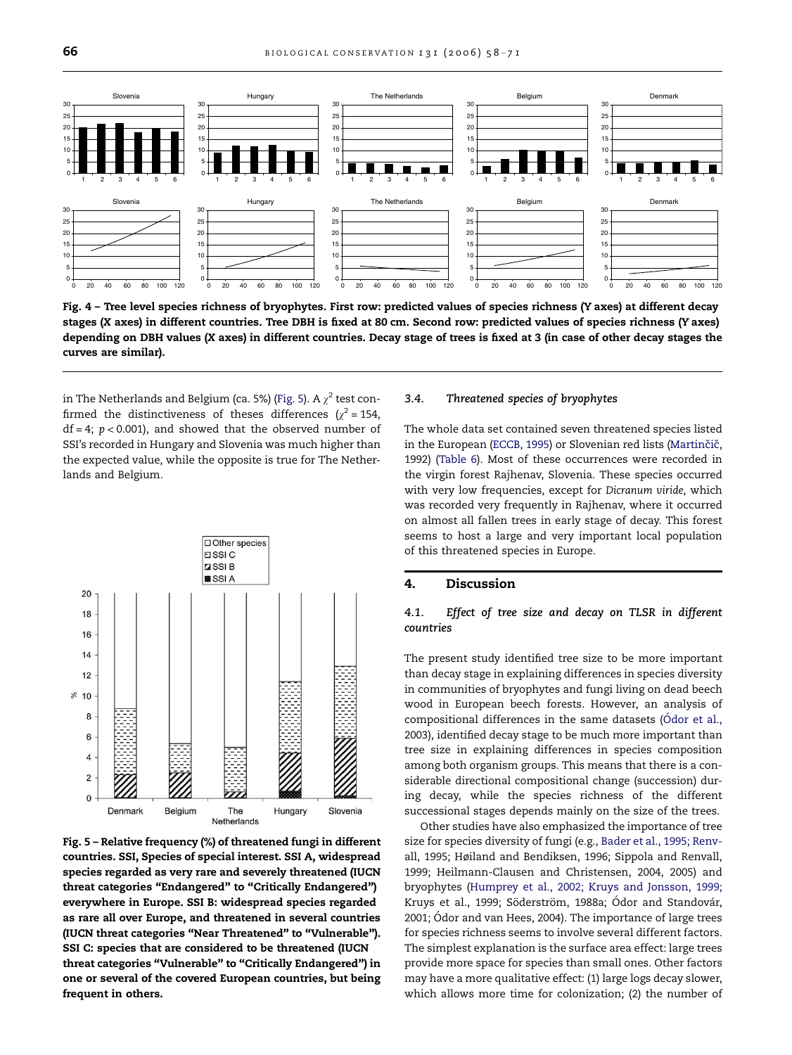<span id="page-8-0"></span>

Fig. 4 – Tree level species richness of bryophytes. First row: predicted values of species richness (Y axes) at different decay stages (X axes) in different countries. Tree DBH is fixed at 80 cm. Second row: predicted values of species richness (Y axes) depending on DBH values (X axes) in different countries. Decay stage of trees is fixed at 3 (in case of other decay stages the curves are similar).

in The Netherlands and Belgium (ca. 5%) (Fig. 5). A  $\chi^2$  test confirmed the distinctiveness of theses differences ( $\gamma^2$  = 154,  $df = 4$ ;  $p < 0.001$ ), and showed that the observed number of SSI's recorded in Hungary and Slovenia was much higher than the expected value, while the opposite is true for The Netherlands and Belgium.



Fig. 5 – Relative frequency (%) of threatened fungi in different countries. SSI, Species of special interest. SSI A, widespread species regarded as very rare and severely threatened (IUCN threat categories ''Endangered'' to ''Critically Endangered'') everywhere in Europe. SSI B: widespread species regarded as rare all over Europe, and threatened in several countries (IUCN threat categories ''Near Threatened'' to ''Vulnerable''). SSI C: species that are considered to be threatened (IUCN threat categories ''Vulnerable'' to ''Critically Endangered'') in one or several of the covered European countries, but being frequent in others.

# 3.4. Threatened species of bryophytes

The whole data set contained seven threatened species listed in the European ([ECCB, 1995](#page-12-0)) or Slovenian red lists (Martinčič, [1992\)](#page-13-0) [\(Table 6\)](#page-9-0). Most of these occurrences were recorded in the virgin forest Rajhenav, Slovenia. These species occurred with very low frequencies, except for Dicranum viride, which was recorded very frequently in Rajhenav, where it occurred on almost all fallen trees in early stage of decay. This forest seems to host a large and very important local population of this threatened species in Europe.

# 4. Discussion

# 4.1. Effect of tree size and decay on TLSR in different countries

The present study identified tree size to be more important than decay stage in explaining differences in species diversity in communities of bryophytes and fungi living on dead beech wood in European beech forests. However, an analysis of compositional differences in the same datasets ( $\acute{o}$ [dor et al.,](#page-13-0) [2003\)](#page-13-0), identified decay stage to be much more important than tree size in explaining differences in species composition among both organism groups. This means that there is a considerable directional compositional change (succession) during decay, while the species richness of the different successional stages depends mainly on the size of the trees.

Other studies have also emphasized the importance of tree size for species diversity of fungi (e.g., [Bader et al., 1995; Renv](#page-12-0)[all, 1995; Høiland and Bendiksen, 1996; Sippola and Renvall,](#page-12-0) [1999; Heilmann-Clausen and Christensen, 2004, 2005\)](#page-12-0) and bryophytes ([Humprey et al., 2002; Kruys and Jonsson, 1999;](#page-12-0) Kruys et al., 1999; Söderström, 1988a; Ódor and Standovár, 2001; O[dor and van Hees, 2004\)](#page-12-0). The importance of large trees for species richness seems to involve several different factors. The simplest explanation is the surface area effect: large trees provide more space for species than small ones. Other factors may have a more qualitative effect: (1) large logs decay slower, which allows more time for colonization; (2) the number of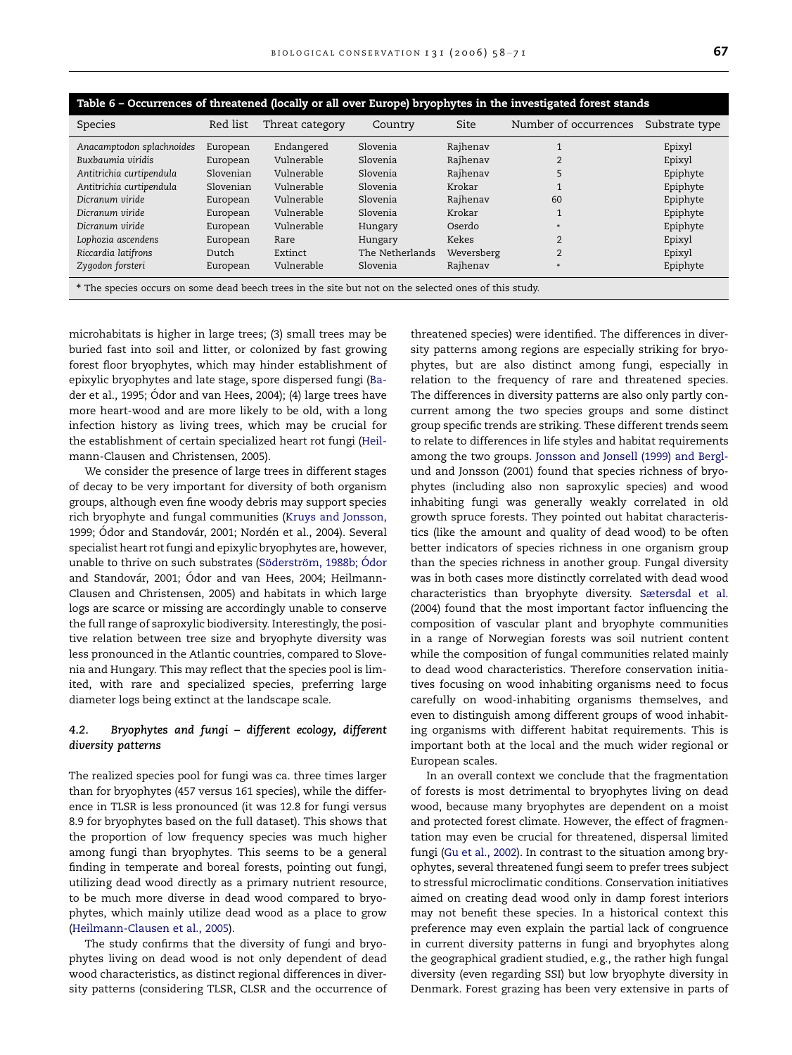<span id="page-9-0"></span>

| Table 6 – Occurrences of threatened (locally or all over Europe) bryophytes in the investigated forest stands |           |                 |                 |            |                       |                |  |  |  |  |
|---------------------------------------------------------------------------------------------------------------|-----------|-----------------|-----------------|------------|-----------------------|----------------|--|--|--|--|
| <b>Species</b>                                                                                                | Red list  | Threat category | Country         | Site       | Number of occurrences | Substrate type |  |  |  |  |
| Anacamptodon splachnoides                                                                                     | European  | Endangered      | Slovenia        | Rajhenav   |                       | Epixyl         |  |  |  |  |
| Buxbaumia viridis                                                                                             | European  | Vulnerable      | Slovenia        | Rajhenav   |                       | Epixyl         |  |  |  |  |
| Antitrichia curtipendula                                                                                      | Slovenian | Vulnerable      | Slovenia        | Rajhenav   |                       | Epiphyte       |  |  |  |  |
| Antitrichia curtipendula                                                                                      | Slovenian | Vulnerable      | Slovenia        | Krokar     |                       | Epiphyte       |  |  |  |  |
| Dicranum viride                                                                                               | European  | Vulnerable      | Slovenia        | Rajhenav   | 60                    | Epiphyte       |  |  |  |  |
| Dicranum viride                                                                                               | European  | Vulnerable      | Slovenia        | Krokar     |                       | Epiphyte       |  |  |  |  |
| Dicranum viride                                                                                               | European  | Vulnerable      | Hungary         | Oserdo     |                       | Epiphyte       |  |  |  |  |
| Lophozia ascendens                                                                                            | European  | Rare            | Hungary         | Kekes      | $\overline{2}$        | Epixyl         |  |  |  |  |
| Riccardia latifrons                                                                                           | Dutch     | Extinct         | The Netherlands | Weversberg | $\overline{2}$        | Epixyl         |  |  |  |  |
| Zygodon forsteri                                                                                              | European  | Vulnerable      | Slovenia        | Rajhenav   |                       | Epiphyte       |  |  |  |  |
| * The species occurs on some dead beech trees in the site but not on the selected ones of this study.         |           |                 |                 |            |                       |                |  |  |  |  |

microhabitats is higher in large trees; (3) small trees may be buried fast into soil and litter, or colonized by fast growing forest floor bryophytes, which may hinder establishment of epixylic bryophytes and late stage, spore dispersed fungi [\(Ba](#page-12-0)der et al., 1995; Ó[dor and van Hees, 2004](#page-12-0)); (4) large trees have more heart-wood and are more likely to be old, with a long infection history as living trees, which may be crucial for the establishment of certain specialized heart rot fungi [\(Heil](#page-12-0)[mann-Clausen and Christensen, 2005](#page-12-0)).

We consider the presence of large trees in different stages of decay to be very important for diversity of both organism groups, although even fine woody debris may support species rich bryophyte and fungal communities ([Kruys and Jonsson,](#page-13-0) 1999; Ódor and Standovár, 2001; Nordén et al., 2004). Several specialist heart rot fungi and epixylic bryophytes are, however, unable to thrive on such substrates (Söderström, 1988b; Ódor and Standovár, 2001; Ó[dor and van Hees, 2004; Heilmann-](#page-13-0)[Clausen and Christensen, 2005\)](#page-13-0) and habitats in which large logs are scarce or missing are accordingly unable to conserve the full range of saproxylic biodiversity. Interestingly, the positive relation between tree size and bryophyte diversity was less pronounced in the Atlantic countries, compared to Slovenia and Hungary. This may reflect that the species pool is limited, with rare and specialized species, preferring large diameter logs being extinct at the landscape scale.

# 4.2. Bryophytes and fungi – different ecology, different diversity patterns

The realized species pool for fungi was ca. three times larger than for bryophytes (457 versus 161 species), while the difference in TLSR is less pronounced (it was 12.8 for fungi versus 8.9 for bryophytes based on the full dataset). This shows that the proportion of low frequency species was much higher among fungi than bryophytes. This seems to be a general finding in temperate and boreal forests, pointing out fungi, utilizing dead wood directly as a primary nutrient resource, to be much more diverse in dead wood compared to bryophytes, which mainly utilize dead wood as a place to grow [\(Heilmann-Clausen et al., 2005](#page-12-0)).

The study confirms that the diversity of fungi and bryophytes living on dead wood is not only dependent of dead wood characteristics, as distinct regional differences in diversity patterns (considering TLSR, CLSR and the occurrence of

threatened species) were identified. The differences in diversity patterns among regions are especially striking for bryophytes, but are also distinct among fungi, especially in relation to the frequency of rare and threatened species. The differences in diversity patterns are also only partly concurrent among the two species groups and some distinct group specific trends are striking. These different trends seem to relate to differences in life styles and habitat requirements among the two groups. [Jonsson and Jonsell \(1999\) and Bergl](#page-12-0)[und and Jonsson \(2001\)](#page-12-0) found that species richness of bryophytes (including also non saproxylic species) and wood inhabiting fungi was generally weakly correlated in old growth spruce forests. They pointed out habitat characteristics (like the amount and quality of dead wood) to be often better indicators of species richness in one organism group than the species richness in another group. Fungal diversity was in both cases more distinctly correlated with dead wood characteristics than bryophyte diversity. [Sætersdal et al.](#page-13-0) [\(2004\)](#page-13-0) found that the most important factor influencing the composition of vascular plant and bryophyte communities in a range of Norwegian forests was soil nutrient content while the composition of fungal communities related mainly to dead wood characteristics. Therefore conservation initiatives focusing on wood inhabiting organisms need to focus carefully on wood-inhabiting organisms themselves, and even to distinguish among different groups of wood inhabiting organisms with different habitat requirements. This is important both at the local and the much wider regional or European scales.

In an overall context we conclude that the fragmentation of forests is most detrimental to bryophytes living on dead wood, because many bryophytes are dependent on a moist and protected forest climate. However, the effect of fragmentation may even be crucial for threatened, dispersal limited fungi [\(Gu et al., 2002\)](#page-12-0). In contrast to the situation among bryophytes, several threatened fungi seem to prefer trees subject to stressful microclimatic conditions. Conservation initiatives aimed on creating dead wood only in damp forest interiors may not benefit these species. In a historical context this preference may even explain the partial lack of congruence in current diversity patterns in fungi and bryophytes along the geographical gradient studied, e.g., the rather high fungal diversity (even regarding SSI) but low bryophyte diversity in Denmark. Forest grazing has been very extensive in parts of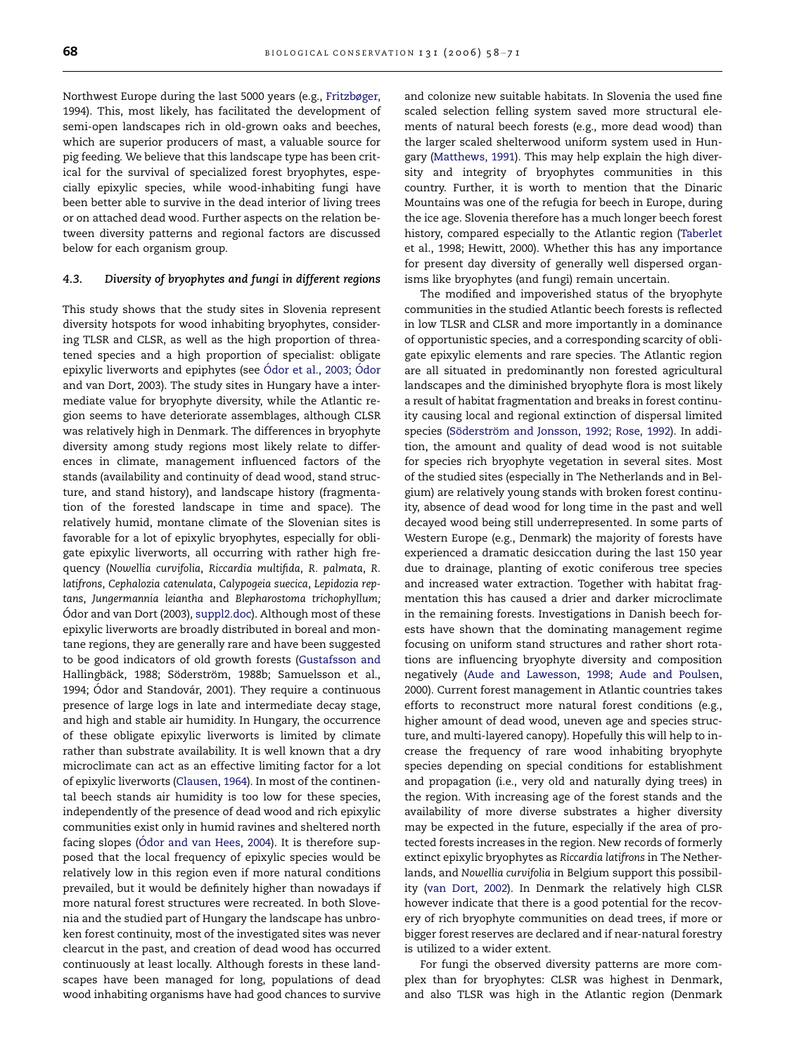Northwest Europe during the last 5000 years (e.g., [Fritzbøger,](#page-12-0) [1994\)](#page-12-0). This, most likely, has facilitated the development of semi-open landscapes rich in old-grown oaks and beeches, which are superior producers of mast, a valuable source for pig feeding. We believe that this landscape type has been critical for the survival of specialized forest bryophytes, especially epixylic species, while wood-inhabiting fungi have been better able to survive in the dead interior of living trees or on attached dead wood. Further aspects on the relation between diversity patterns and regional factors are discussed below for each organism group.

## 4.3. Diversity of bryophytes and fungi in different regions

This study shows that the study sites in Slovenia represent diversity hotspots for wood inhabiting bryophytes, considering TLSR and CLSR, as well as the high proportion of threatened species and a high proportion of specialist: obligate epixylic liverworts and epiphytes (see Ódor et al., 2003; Ódor [and van Dort, 2003](#page-13-0)). The study sites in Hungary have a intermediate value for bryophyte diversity, while the Atlantic region seems to have deteriorate assemblages, although CLSR was relatively high in Denmark. The differences in bryophyte diversity among study regions most likely relate to differences in climate, management influenced factors of the stands (availability and continuity of dead wood, stand structure, and stand history), and landscape history (fragmentation of the forested landscape in time and space). The relatively humid, montane climate of the Slovenian sites is favorable for a lot of epixylic bryophytes, especially for obligate epixylic liverworts, all occurring with rather high frequency (Nowellia curvifolia, Riccardia multifida, R. palmata, R. latifrons, Cephalozia catenulata, Calypogeia suecica, Lepidozia reptans, Jungermannia leiantha and Blepharostoma trichophyllum; Ó[dor and van Dort \(2003\),](#page-13-0) suppl2.doc). Although most of these epixylic liverworts are broadly distributed in boreal and montane regions, they are generally rare and have been suggested to be good indicators of old growth forests ([Gustafsson and](#page-12-0) Hallingbäck, 1988; Söderström, 1988b; Samuelsson et al., 1994; Ódor and Standovár, 2001). They require a continuous presence of large logs in late and intermediate decay stage, and high and stable air humidity. In Hungary, the occurrence of these obligate epixylic liverworts is limited by climate rather than substrate availability. It is well known that a dry microclimate can act as an effective limiting factor for a lot of epixylic liverworts ([Clausen, 1964\)](#page-12-0). In most of the continental beech stands air humidity is too low for these species, independently of the presence of dead wood and rich epixylic communities exist only in humid ravines and sheltered north facing slopes (Ó[dor and van Hees, 2004\)](#page-13-0). It is therefore supposed that the local frequency of epixylic species would be relatively low in this region even if more natural conditions prevailed, but it would be definitely higher than nowadays if more natural forest structures were recreated. In both Slovenia and the studied part of Hungary the landscape has unbroken forest continuity, most of the investigated sites was never clearcut in the past, and creation of dead wood has occurred continuously at least locally. Although forests in these landscapes have been managed for long, populations of dead wood inhabiting organisms have had good chances to survive

and colonize new suitable habitats. In Slovenia the used fine scaled selection felling system saved more structural elements of natural beech forests (e.g., more dead wood) than the larger scaled shelterwood uniform system used in Hungary [\(Matthews, 1991](#page-13-0)). This may help explain the high diversity and integrity of bryophytes communities in this country. Further, it is worth to mention that the Dinaric Mountains was one of the refugia for beech in Europe, during the ice age. Slovenia therefore has a much longer beech forest history, compared especially to the Atlantic region ([Taberlet](#page-13-0) [et al., 1998; Hewitt, 2000](#page-13-0)). Whether this has any importance for present day diversity of generally well dispersed organisms like bryophytes (and fungi) remain uncertain.

The modified and impoverished status of the bryophyte communities in the studied Atlantic beech forests is reflected in low TLSR and CLSR and more importantly in a dominance of opportunistic species, and a corresponding scarcity of obligate epixylic elements and rare species. The Atlantic region are all situated in predominantly non forested agricultural landscapes and the diminished bryophyte flora is most likely a result of habitat fragmentation and breaks in forest continuity causing local and regional extinction of dispersal limited species (Söderström and Jonsson, 1992; Rose, 1992). In addition, the amount and quality of dead wood is not suitable for species rich bryophyte vegetation in several sites. Most of the studied sites (especially in The Netherlands and in Belgium) are relatively young stands with broken forest continuity, absence of dead wood for long time in the past and well decayed wood being still underrepresented. In some parts of Western Europe (e.g., Denmark) the majority of forests have experienced a dramatic desiccation during the last 150 year due to drainage, planting of exotic coniferous tree species and increased water extraction. Together with habitat fragmentation this has caused a drier and darker microclimate in the remaining forests. Investigations in Danish beech forests have shown that the dominating management regime focusing on uniform stand structures and rather short rotations are influencing bryophyte diversity and composition negatively [\(Aude and Lawesson, 1998; Aude and Poulsen,](#page-11-0) [2000\)](#page-11-0). Current forest management in Atlantic countries takes efforts to reconstruct more natural forest conditions (e.g., higher amount of dead wood, uneven age and species structure, and multi-layered canopy). Hopefully this will help to increase the frequency of rare wood inhabiting bryophyte species depending on special conditions for establishment and propagation (i.e., very old and naturally dying trees) in the region. With increasing age of the forest stands and the availability of more diverse substrates a higher diversity may be expected in the future, especially if the area of protected forests increases in the region. New records of formerly extinct epixylic bryophytes as Riccardia latifrons in The Netherlands, and Nowellia curvifolia in Belgium support this possibility [\(van Dort, 2002\)](#page-13-0). In Denmark the relatively high CLSR however indicate that there is a good potential for the recovery of rich bryophyte communities on dead trees, if more or bigger forest reserves are declared and if near-natural forestry is utilized to a wider extent.

For fungi the observed diversity patterns are more complex than for bryophytes: CLSR was highest in Denmark, and also TLSR was high in the Atlantic region (Denmark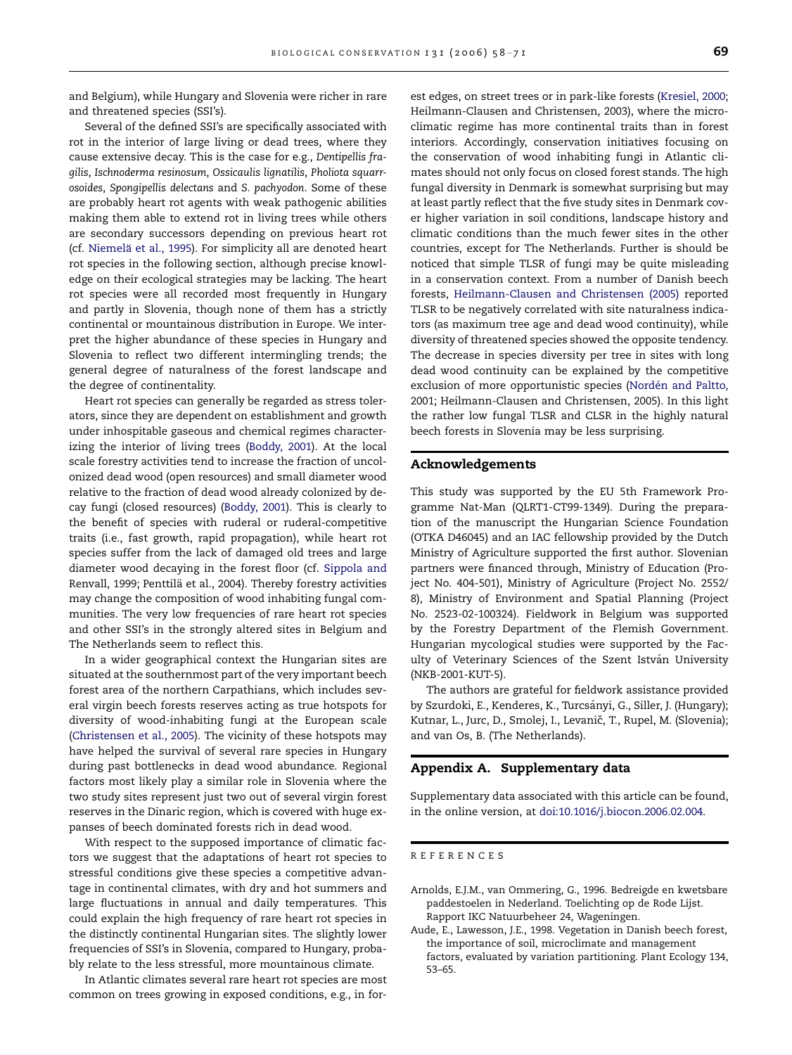<span id="page-11-0"></span>and Belgium), while Hungary and Slovenia were richer in rare and threatened species (SSI's).

Several of the defined SSI's are specifically associated with rot in the interior of large living or dead trees, where they cause extensive decay. This is the case for e.g., Dentipellis fragilis, Ischnoderma resinosum, Ossicaulis lignatilis, Pholiota squarrosoides, Spongipellis delectans and S. pachyodon. Some of these are probably heart rot agents with weak pathogenic abilities making them able to extend rot in living trees while others are secondary successors depending on previous heart rot (cf. Niemelä [et al., 1995](#page-13-0)). For simplicity all are denoted heart rot species in the following section, although precise knowledge on their ecological strategies may be lacking. The heart rot species were all recorded most frequently in Hungary and partly in Slovenia, though none of them has a strictly continental or mountainous distribution in Europe. We interpret the higher abundance of these species in Hungary and Slovenia to reflect two different intermingling trends; the general degree of naturalness of the forest landscape and the degree of continentality.

Heart rot species can generally be regarded as stress tolerators, since they are dependent on establishment and growth under inhospitable gaseous and chemical regimes characterizing the interior of living trees [\(Boddy, 2001](#page-12-0)). At the local scale forestry activities tend to increase the fraction of uncolonized dead wood (open resources) and small diameter wood relative to the fraction of dead wood already colonized by decay fungi (closed resources) ([Boddy, 2001](#page-12-0)). This is clearly to the benefit of species with ruderal or ruderal-competitive traits (i.e., fast growth, rapid propagation), while heart rot species suffer from the lack of damaged old trees and large diameter wood decaying in the forest floor (cf. [Sippola and](#page-13-0) Renvall, 1999; Penttilä et al., 2004). Thereby forestry activities may change the composition of wood inhabiting fungal communities. The very low frequencies of rare heart rot species and other SSI's in the strongly altered sites in Belgium and The Netherlands seem to reflect this.

In a wider geographical context the Hungarian sites are situated at the southernmost part of the very important beech forest area of the northern Carpathians, which includes several virgin beech forests reserves acting as true hotspots for diversity of wood-inhabiting fungi at the European scale [\(Christensen et al., 2005](#page-12-0)). The vicinity of these hotspots may have helped the survival of several rare species in Hungary during past bottlenecks in dead wood abundance. Regional factors most likely play a similar role in Slovenia where the two study sites represent just two out of several virgin forest reserves in the Dinaric region, which is covered with huge expanses of beech dominated forests rich in dead wood.

With respect to the supposed importance of climatic factors we suggest that the adaptations of heart rot species to stressful conditions give these species a competitive advantage in continental climates, with dry and hot summers and large fluctuations in annual and daily temperatures. This could explain the high frequency of rare heart rot species in the distinctly continental Hungarian sites. The slightly lower frequencies of SSI's in Slovenia, compared to Hungary, probably relate to the less stressful, more mountainous climate.

In Atlantic climates several rare heart rot species are most common on trees growing in exposed conditions, e.g., in for-

est edges, on street trees or in park-like forests ([Kresiel, 2000;](#page-12-0) Heilmann-Clausen and Christensen, 2003), where the microclimatic regime has more continental traits than in forest interiors. Accordingly, conservation initiatives focusing on the conservation of wood inhabiting fungi in Atlantic climates should not only focus on closed forest stands. The high fungal diversity in Denmark is somewhat surprising but may at least partly reflect that the five study sites in Denmark cover higher variation in soil conditions, landscape history and climatic conditions than the much fewer sites in the other countries, except for The Netherlands. Further is should be noticed that simple TLSR of fungi may be quite misleading in a conservation context. From a number of Danish beech forests, [Heilmann-Clausen and Christensen \(2005\)](#page-12-0) reported TLSR to be negatively correlated with site naturalness indicators (as maximum tree age and dead wood continuity), while diversity of threatened species showed the opposite tendency. The decrease in species diversity per tree in sites with long dead wood continuity can be explained by the competitive exclusion of more opportunistic species (Nordén and Paltto, [2001; Heilmann-Clausen and Christensen, 2005\)](#page-13-0). In this light the rather low fungal TLSR and CLSR in the highly natural beech forests in Slovenia may be less surprising.

## Acknowledgements

This study was supported by the EU 5th Framework Programme Nat-Man (QLRT1-CT99-1349). During the preparation of the manuscript the Hungarian Science Foundation (OTKA D46045) and an IAC fellowship provided by the Dutch Ministry of Agriculture supported the first author. Slovenian partners were financed through, Ministry of Education (Project No. 404-501), Ministry of Agriculture (Project No. 2552/ 8), Ministry of Environment and Spatial Planning (Project No. 2523-02-100324). Fieldwork in Belgium was supported by the Forestry Department of the Flemish Government. Hungarian mycological studies were supported by the Faculty of Veterinary Sciences of the Szent István University (NKB-2001-KUT-5).

The authors are grateful for fieldwork assistance provided by Szurdoki, E., Kenderes, K., Turcsányi, G., Siller, J. (Hungary); Kutnar, L., Jurc, D., Smolej, I., Levanič, T., Rupel, M. (Slovenia); and van Os, B. (The Netherlands).

# Appendix A. Supplementary data

Supplementary data associated with this article can be found, in the online version, at [doi:10.1016/j.biocon.2006.02.004.](http://dx.doi.org/10.1016/j.biocon.2006.02.004)

REFERENCES

- Arnolds, E.J.M., van Ommering, G., 1996. Bedreigde en kwetsbare paddestoelen in Nederland. Toelichting op de Rode Lijst. Rapport IKC Natuurbeheer 24, Wageningen.
- Aude, E., Lawesson, J.E., 1998. Vegetation in Danish beech forest, the importance of soil, microclimate and management factors, evaluated by variation partitioning. Plant Ecology 134, 53–65.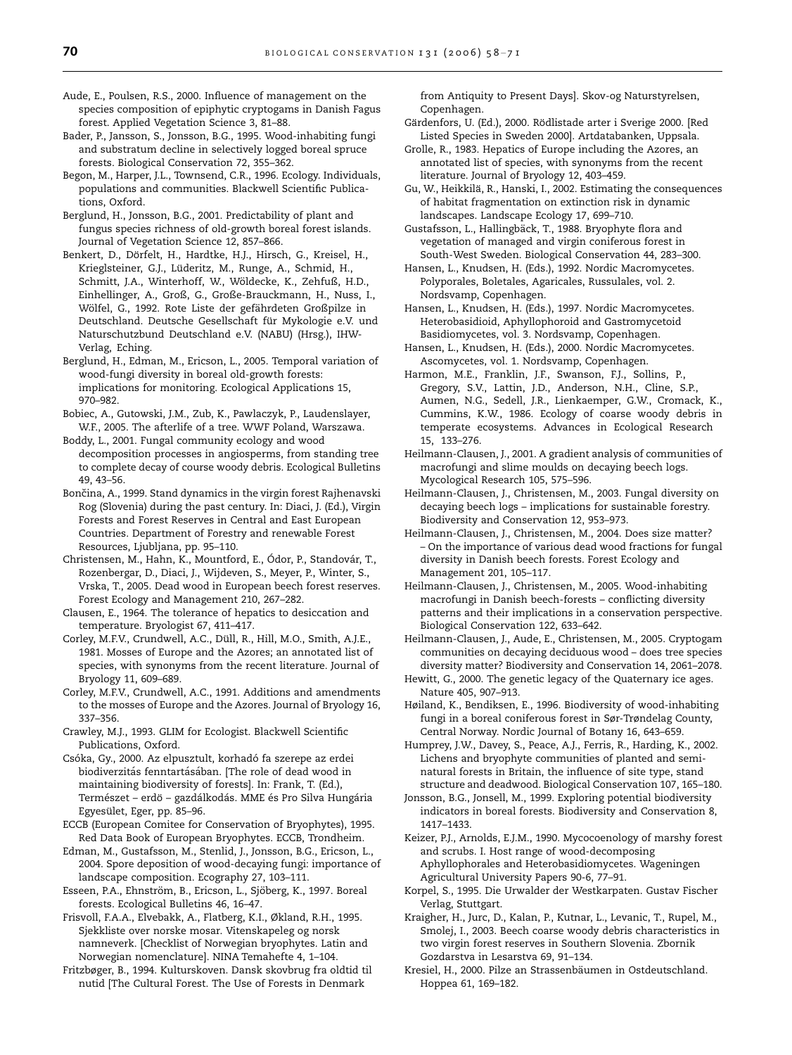- <span id="page-12-0"></span>Aude, E., Poulsen, R.S., 2000. Influence of management on the species composition of epiphytic cryptogams in Danish Fagus forest. Applied Vegetation Science 3, 81–88.
- Bader, P., Jansson, S., Jonsson, B.G., 1995. Wood-inhabiting fungi and substratum decline in selectively logged boreal spruce forests. Biological Conservation 72, 355–362.
- Begon, M., Harper, J.L., Townsend, C.R., 1996. Ecology. Individuals, populations and communities. Blackwell Scientific Publications, Oxford.
- Berglund, H., Jonsson, B.G., 2001. Predictability of plant and fungus species richness of old-growth boreal forest islands. Journal of Vegetation Science 12, 857–866.
- Benkert, D., Dörfelt, H., Hardtke, H.J., Hirsch, G., Kreisel, H., Krieglsteiner, G.J., Lüderitz, M., Runge, A., Schmid, H., Schmitt, J.A., Winterhoff, W., Wöldecke, K., Zehfuß, H.D., Einhellinger, A., Groß, G., Große-Brauckmann, H., Nuss, I., Wölfel, G., 1992. Rote Liste der gefährdeten Großpilze in Deutschland. Deutsche Gesellschaft für Mykologie e.V. und Naturschutzbund Deutschland e.V. (NABU) (Hrsg.), IHW-Verlag, Eching.
- Berglund, H., Edman, M., Ericson, L., 2005. Temporal variation of wood-fungi diversity in boreal old-growth forests: implications for monitoring. Ecological Applications 15, 970–982.
- Bobiec, A., Gutowski, J.M., Zub, K., Pawlaczyk, P., Laudenslayer, W.F., 2005. The afterlife of a tree. WWF Poland, Warszawa.
- Boddy, L., 2001. Fungal community ecology and wood decomposition processes in angiosperms, from standing tree to complete decay of course woody debris. Ecological Bulletins 49, 43–56.
- Bončina, A., 1999. Stand dynamics in the virgin forest Rajhenavski Rog (Slovenia) during the past century. In: Diaci, J. (Ed.), Virgin Forests and Forest Reserves in Central and East European Countries. Department of Forestry and renewable Forest Resources, Ljubljana, pp. 95–110.
- Christensen, M., Hahn, K., Mountford, E., Ódor, P., Standovár, T., Rozenbergar, D., Diaci, J., Wijdeven, S., Meyer, P., Winter, S., Vrska, T., 2005. Dead wood in European beech forest reserves. Forest Ecology and Management 210, 267–282.
- Clausen, E., 1964. The tolerance of hepatics to desiccation and temperature. Bryologist 67, 411–417.
- Corley, M.F.V., Crundwell, A.C., Düll, R., Hill, M.O., Smith, A.J.E., 1981. Mosses of Europe and the Azores; an annotated list of species, with synonyms from the recent literature. Journal of Bryology 11, 609–689.
- Corley, M.F.V., Crundwell, A.C., 1991. Additions and amendments to the mosses of Europe and the Azores. Journal of Bryology 16, 337–356.
- Crawley, M.J., 1993. GLIM for Ecologist. Blackwell Scientific Publications, Oxford.
- Csóka, Gy., 2000. Az elpusztult, korhadó fa szerepe az erdei biodiverzitás fenntartásában. [The role of dead wood in maintaining biodiversity of forests]. In: Frank, T. (Ed.), Természet – erdö – gazdálkodás. MME és Pro Silva Hungária Egyesület, Eger, pp. 85–96.
- ECCB (European Comitee for Conservation of Bryophytes), 1995. Red Data Book of European Bryophytes. ECCB, Trondheim.
- Edman, M., Gustafsson, M., Stenlid, J., Jonsson, B.G., Ericson, L., 2004. Spore deposition of wood-decaying fungi: importance of landscape composition. Ecography 27, 103–111.
- Esseen, P.A., Ehnström, B., Ericson, L., Sjöberg, K., 1997. Boreal forests. Ecological Bulletins 46, 16–47.
- Frisvoll, F.A.A., Elvebakk, A., Flatberg, K.I., Økland, R.H., 1995. Sjekkliste over norske mosar. Vitenskapeleg og norsk namneverk. [Checklist of Norwegian bryophytes. Latin and Norwegian nomenclature]. NINA Temahefte 4, 1–104.
- Fritzbøger, B., 1994. Kulturskoven. Dansk skovbrug fra oldtid til nutid [The Cultural Forest. The Use of Forests in Denmark

from Antiquity to Present Days]. Skov-og Naturstyrelsen, Copenhagen.

- Gärdenfors, U. (Ed.), 2000. Rödlistade arter i Sverige 2000. [Red Listed Species in Sweden 2000]. Artdatabanken, Uppsala.
- Grolle, R., 1983. Hepatics of Europe including the Azores, an annotated list of species, with synonyms from the recent literature. Journal of Bryology 12, 403–459.
- Gu, W., Heikkilä, R., Hanski, I., 2002. Estimating the consequences of habitat fragmentation on extinction risk in dynamic landscapes. Landscape Ecology 17, 699–710.
- Gustafsson, L., Hallingbäck, T., 1988. Bryophyte flora and vegetation of managed and virgin coniferous forest in South-West Sweden. Biological Conservation 44, 283–300.
- Hansen, L., Knudsen, H. (Eds.), 1992. Nordic Macromycetes. Polyporales, Boletales, Agaricales, Russulales, vol. 2. Nordsvamp, Copenhagen.
- Hansen, L., Knudsen, H. (Eds.), 1997. Nordic Macromycetes. Heterobasidioid, Aphyllophoroid and Gastromycetoid Basidiomycetes, vol. 3. Nordsvamp, Copenhagen.
- Hansen, L., Knudsen, H. (Eds.), 2000. Nordic Macromycetes. Ascomycetes, vol. 1. Nordsvamp, Copenhagen.
- Harmon, M.E., Franklin, J.F., Swanson, F.J., Sollins, P., Gregory, S.V., Lattin, J.D., Anderson, N.H., Cline, S.P., Aumen, N.G., Sedell, J.R., Lienkaemper, G.W., Cromack, K., Cummins, K.W., 1986. Ecology of coarse woody debris in temperate ecosystems. Advances in Ecological Research 15, 133–276.
- Heilmann-Clausen, J., 2001. A gradient analysis of communities of macrofungi and slime moulds on decaying beech logs. Mycological Research 105, 575–596.
- Heilmann-Clausen, J., Christensen, M., 2003. Fungal diversity on decaying beech logs – implications for sustainable forestry. Biodiversity and Conservation 12, 953–973.
- Heilmann-Clausen, J., Christensen, M., 2004. Does size matter? – On the importance of various dead wood fractions for fungal diversity in Danish beech forests. Forest Ecology and Management 201, 105–117.
- Heilmann-Clausen, J., Christensen, M., 2005. Wood-inhabiting macrofungi in Danish beech-forests – conflicting diversity patterns and their implications in a conservation perspective. Biological Conservation 122, 633–642.
- Heilmann-Clausen, J., Aude, E., Christensen, M., 2005. Cryptogam communities on decaying deciduous wood – does tree species diversity matter? Biodiversity and Conservation 14, 2061–2078.
- Hewitt, G., 2000. The genetic legacy of the Quaternary ice ages. Nature 405, 907–913.
- Høiland, K., Bendiksen, E., 1996. Biodiversity of wood-inhabiting fungi in a boreal coniferous forest in Sør-Trøndelag County, Central Norway. Nordic Journal of Botany 16, 643–659.
- Humprey, J.W., Davey, S., Peace, A.J., Ferris, R., Harding, K., 2002. Lichens and bryophyte communities of planted and seminatural forests in Britain, the influence of site type, stand structure and deadwood. Biological Conservation 107, 165–180.
- Jonsson, B.G., Jonsell, M., 1999. Exploring potential biodiversity indicators in boreal forests. Biodiversity and Conservation 8, 1417–1433.
- Keizer, P.J., Arnolds, E.J.M., 1990. Mycocoenology of marshy forest and scrubs. I. Host range of wood-decomposing Aphyllophorales and Heterobasidiomycetes. Wageningen Agricultural University Papers 90-6, 77–91.
- Korpel, S., 1995. Die Urwalder der Westkarpaten. Gustav Fischer Verlag, Stuttgart.
- Kraigher, H., Jurc, D., Kalan, P., Kutnar, L., Levanic, T., Rupel, M., Smolej, I., 2003. Beech coarse woody debris characteristics in two virgin forest reserves in Southern Slovenia. Zbornik Gozdarstva in Lesarstva 69, 91–134.
- Kresiel, H., 2000. Pilze an Strassenbäumen in Ostdeutschland. Hoppea 61, 169–182.